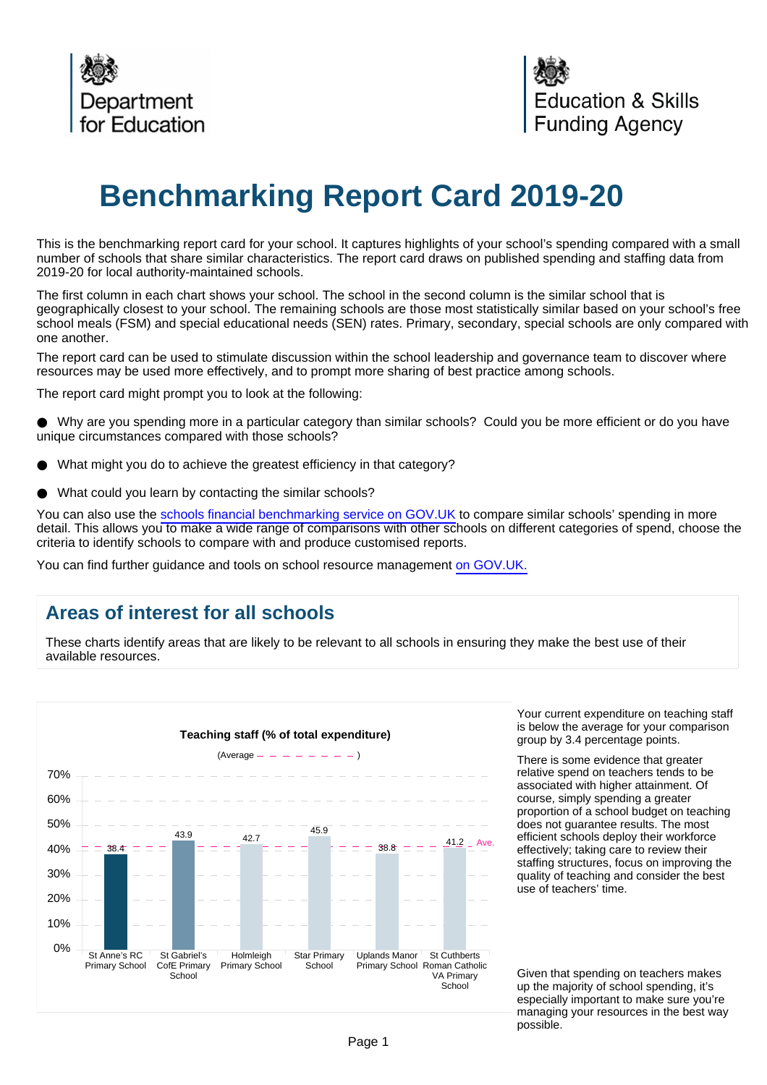

# **Benchmarking Report Card 2019-20**

This is the benchmarking report card for your school. It captures highlights of your school's spending compared with a small number of schools that share similar characteristics. The report card draws on published spending and staffing data from 2019-20 for local authority-maintained schools.

The first column in each chart shows your school. The school in the second column is the similar school that is geographically closest to your school. The remaining schools are those most statistically similar based on your school's free school meals (FSM) and special educational needs (SEN) rates. Primary, secondary, special schools are only compared with one another.

The report card can be used to stimulate discussion within the school leadership and governance team to discover where resources may be used more effectively, and to prompt more sharing of best practice among schools.

The report card might prompt you to look at the following:

Why are you spending more in a particular category than similar schools? Could you be more efficient or do you have unique circumstances compared with those schools?

- What might you do to achieve the greatest efficiency in that category?
- What could you learn by contacting the similar schools?

You can also use the [schools financial benchmarking service on GOV.UK](https://schools-financial-benchmarking.service.gov.uk/?utm_source=brc_academies_18-19&utm_medium=email) to compare similar schools' spending in more detail. This allows you to make a wide range of comparisons with other schools on different categories of spend, choose the criteria to identify schools to compare with and produce customised reports.

You can find further guidance and tools on school resource management [on GOV.UK.](https://www.gov.uk/government/collections/schools-financial-health-and-efficiency)

## **Areas of interest for all schools**

These charts identify areas that are likely to be relevant to all schools in ensuring they make the best use of their available resources.



Your current expenditure on teaching staff is below the average for your comparison group by 3.4 percentage points.

There is some evidence that greater relative spend on teachers tends to be associated with higher attainment. Of course, simply spending a greater proportion of a school budget on teaching does not guarantee results. The most efficient schools deploy their workforce effectively; taking care to review their staffing structures, focus on improving the quality of teaching and consider the best use of teachers' time.

Given that spending on teachers makes up the majority of school spending, it's especially important to make sure you're managing your resources in the best way possible.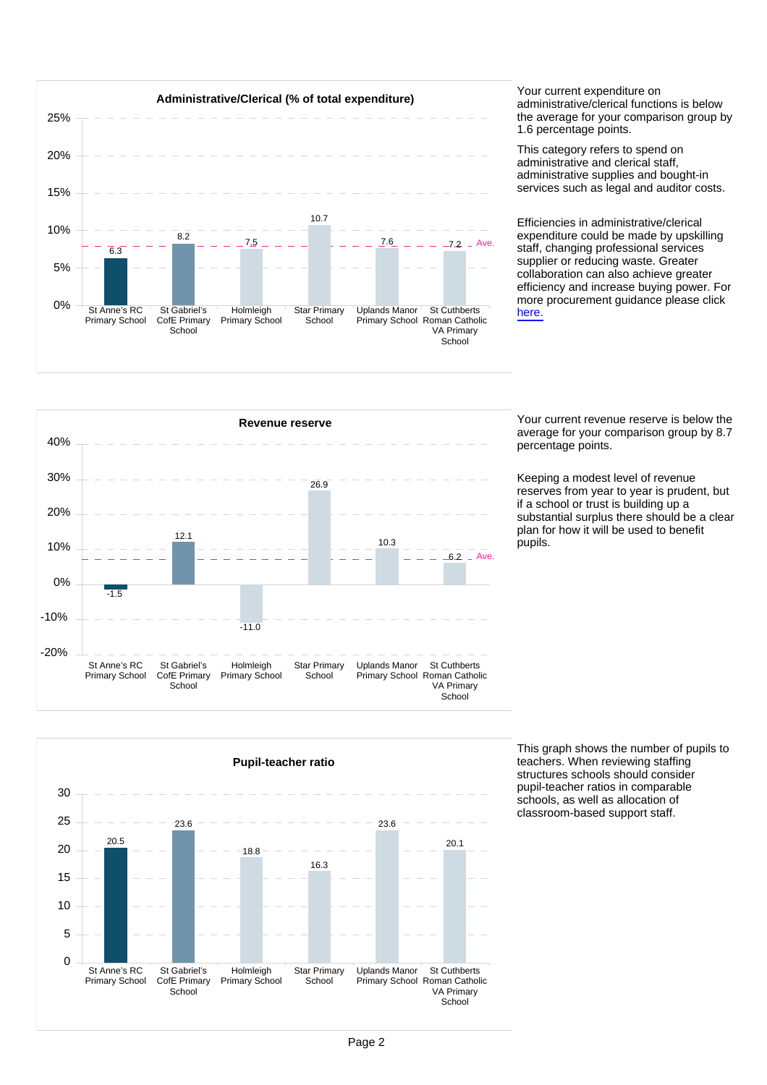

administrative/clerical functions is below the average for your comparison group by 1.6 percentage points.

This category refers to spend on administrative and clerical staff, administrative supplies and bought-in services such as legal and auditor costs.

Efficiencies in administrative/clerical expenditure could be made by upskilling staff, changing professional services supplier or reducing waste. Greater collaboration can also achieve greater efficiency and increase buying power. For more procurement guidance please click [here.](https://www.gov.uk/guidance/buying-for-schools)



average for your comparison group by 8.7 percentage points.

Keeping a modest level of revenue reserves from year to year is prudent, but if a school or trust is building up a substantial surplus there should be a clear plan for how it will be used to benefit .<br>pupils.



This graph shows the number of pupils to teachers. When reviewing staffing structures schools should consider pupil-teacher ratios in comparable schools, as well as allocation of classroom-based support staff.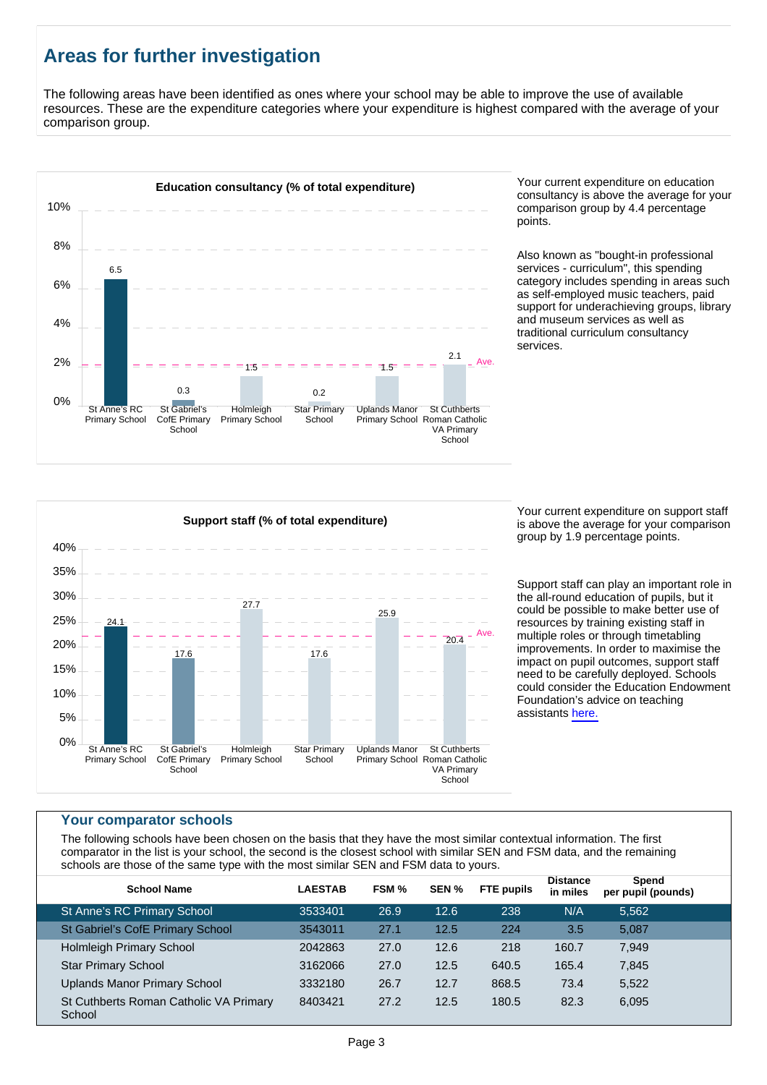# **Areas for further investigation**

The following areas have been identified as ones where your school may be able to improve the use of available resources. These are the expenditure categories where your expenditure is highest compared with the average of your comparison group.



consultancy is above the average for your comparison group by 4.4 percentage points.

Also known as "bought-in professional services - curriculum", this spending category includes spending in areas such as self-employed music teachers, paid support for underachieving groups, library and museum services as well as traditional curriculum consultancy services.



Your current expenditure on support staff is above the average for your comparison group by 1.9 percentage points.

Support staff can play an important role in the all-round education of pupils, but it could be possible to make better use of resources by training existing staff in multiple roles or through timetabling improvements. In order to maximise the impact on pupil outcomes, support staff need to be carefully deployed. Schools could consider the Education Endowment Foundation's advice on teaching assistants [here.](https://educationendowmentfoundation.org.uk/resources/making-best-use-of-teaching-assistants)

#### **Your comparator schools**

The following schools have been chosen on the basis that they have the most similar contextual information. The first comparator in the list is your school, the second is the closest school with similar SEN and FSM data, and the remaining schools are those of the same type with the most similar SEN and FSM data to yours.

| <b>School Name</b>                               | <b>LAESTAB</b> | FSM % | SEN % | <b>FTE</b> pupils | <b>Distance</b><br>in miles | Spend<br>per pupil (pounds) |  |
|--------------------------------------------------|----------------|-------|-------|-------------------|-----------------------------|-----------------------------|--|
| St Anne's RC Primary School                      | 3533401        | 26.9  | 12.6  | 238               | N/A                         | 5.562                       |  |
| St Gabriel's CofE Primary School                 | 3543011        | 27.1  | 12.5  | 224               | 3.5                         | 5,087                       |  |
| <b>Holmleigh Primary School</b>                  | 2042863        | 27.0  | 12.6  | 218               | 160.7                       | 7.949                       |  |
| <b>Star Primary School</b>                       | 3162066        | 27.0  | 12.5  | 640.5             | 165.4                       | 7,845                       |  |
| Uplands Manor Primary School                     | 3332180        | 26.7  | 12.7  | 868.5             | 73.4                        | 5,522                       |  |
| St Cuthberts Roman Catholic VA Primary<br>School | 8403421        | 27.2  | 12.5  | 180.5             | 82.3                        | 6,095                       |  |